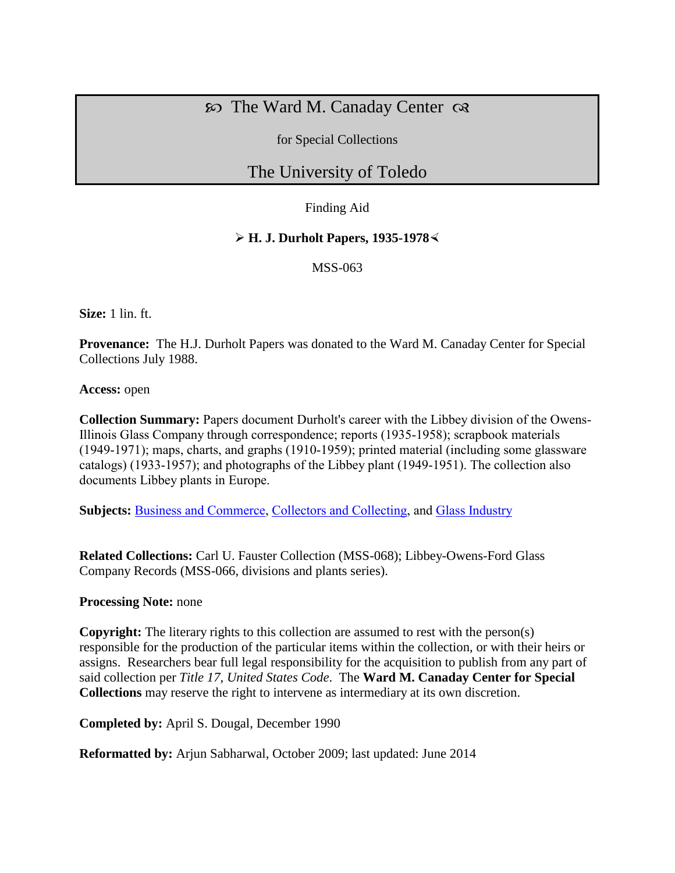## $\infty$  The Ward M. Canaday Center  $\infty$

for Special Collections

# The University of Toledo

Finding Aid

### **H. J. Durholt Papers, 1935-1978**

MSS-063

**Size:** 1 lin. ft.

**Provenance:** The H.J. Durholt Papers was donated to the Ward M. Canaday Center for Special Collections July 1988.

**Access:** open

**Collection Summary:** Papers document Durholt's career with the Libbey division of the Owens-Illinois Glass Company through correspondence; reports (1935-1958); scrapbook materials (1949-1971); maps, charts, and graphs (1910-1959); printed material (including some glassware catalogs) (1933-1957); and photographs of the Libbey plant (1949-1951). The collection also documents Libbey plants in Europe.

**Subjects:** [Business and Commerce,](http://www.utoledo.edu/library/canaday/guidepages/business.html) [Collectors and Collecting,](http://www.utoledo.edu/library/canaday/guidepages/collectors.html) and [Glass Industry](http://www.utoledo.edu/library/canaday/guidepages/glass.html)

**Related Collections:** Carl U. Fauster Collection (MSS-068); Libbey-Owens-Ford Glass Company Records (MSS-066, divisions and plants series).

#### **Processing Note:** none

**Copyright:** The literary rights to this collection are assumed to rest with the person(s) responsible for the production of the particular items within the collection, or with their heirs or assigns. Researchers bear full legal responsibility for the acquisition to publish from any part of said collection per *Title 17, United States Code*. The **Ward M. Canaday Center for Special Collections** may reserve the right to intervene as intermediary at its own discretion.

**Completed by:** April S. Dougal, December 1990

**Reformatted by:** Arjun Sabharwal, October 2009; last updated: June 2014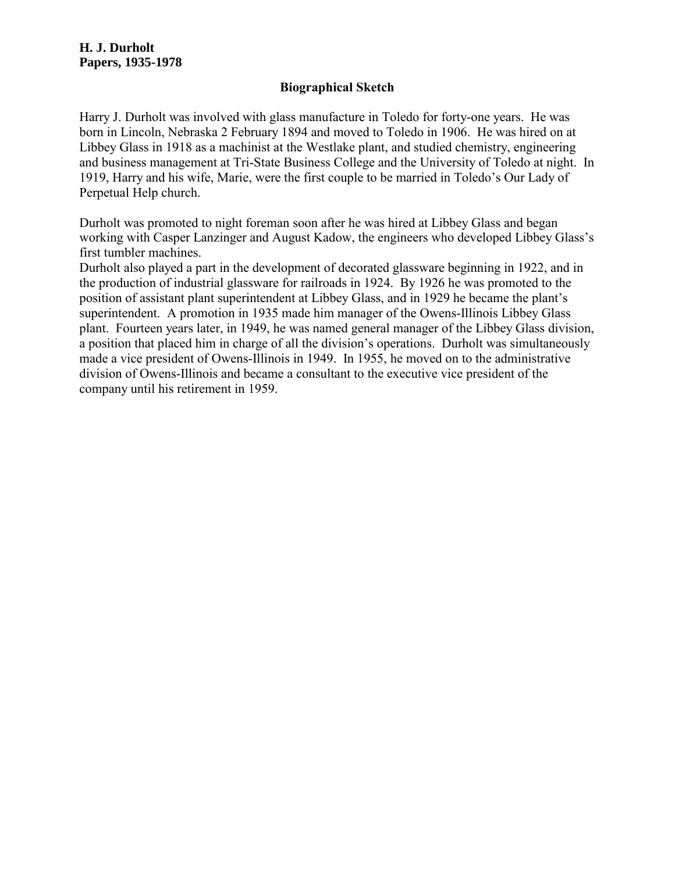#### **Biographical Sketch**

Harry J. Durholt was involved with glass manufacture in Toledo for forty-one years. He was born in Lincoln, Nebraska 2 February 1894 and moved to Toledo in 1906. He was hired on at Libbey Glass in 1918 as a machinist at the Westlake plant, and studied chemistry, engineering and business management at Tri-State Business College and the University of Toledo at night. In 1919, Harry and his wife, Marie, were the first couple to be married in Toledo's Our Lady of Perpetual Help church.

Durholt was promoted to night foreman soon after he was hired at Libbey Glass and began working with Casper Lanzinger and August Kadow, the engineers who developed Libbey Glass's first tumbler machines.

Durholt also played a part in the development of decorated glassware beginning in 1922, and in the production of industrial glassware for railroads in 1924. By 1926 he was promoted to the position of assistant plant superintendent at Libbey Glass, and in 1929 he became the plant's superintendent. A promotion in 1935 made him manager of the Owens-Illinois Libbey Glass plant. Fourteen years later, in 1949, he was named general manager of the Libbey Glass division, a position that placed him in charge of all the division's operations. Durholt was simultaneously made a vice president of Owens-Illinois in 1949. In 1955, he moved on to the administrative division of Owens-Illinois and became a consultant to the executive vice president of the company until his retirement in 1959.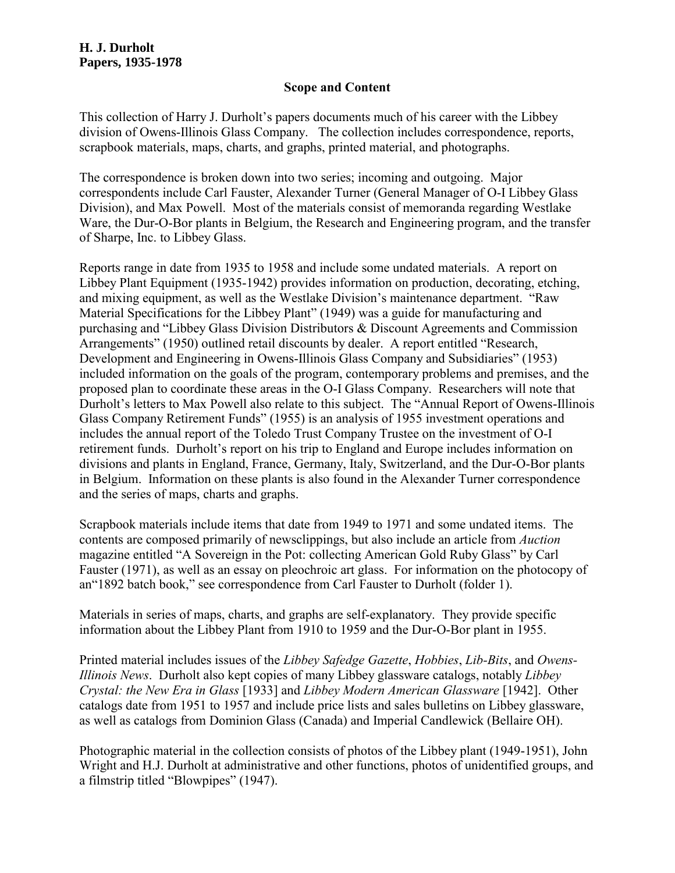#### **Scope and Content**

This collection of Harry J. Durholt's papers documents much of his career with the Libbey division of Owens-Illinois Glass Company. The collection includes correspondence, reports, scrapbook materials, maps, charts, and graphs, printed material, and photographs.

The correspondence is broken down into two series; incoming and outgoing. Major correspondents include Carl Fauster, Alexander Turner (General Manager of O-I Libbey Glass Division), and Max Powell. Most of the materials consist of memoranda regarding Westlake Ware, the Dur-O-Bor plants in Belgium, the Research and Engineering program, and the transfer of Sharpe, Inc. to Libbey Glass.

Reports range in date from 1935 to 1958 and include some undated materials. A report on Libbey Plant Equipment (1935-1942) provides information on production, decorating, etching, and mixing equipment, as well as the Westlake Division's maintenance department. "Raw Material Specifications for the Libbey Plant" (1949) was a guide for manufacturing and purchasing and "Libbey Glass Division Distributors & Discount Agreements and Commission Arrangements" (1950) outlined retail discounts by dealer. A report entitled "Research, Development and Engineering in Owens-Illinois Glass Company and Subsidiaries" (1953) included information on the goals of the program, contemporary problems and premises, and the proposed plan to coordinate these areas in the O-I Glass Company. Researchers will note that Durholt's letters to Max Powell also relate to this subject. The "Annual Report of Owens-Illinois Glass Company Retirement Funds" (1955) is an analysis of 1955 investment operations and includes the annual report of the Toledo Trust Company Trustee on the investment of O-I retirement funds. Durholt's report on his trip to England and Europe includes information on divisions and plants in England, France, Germany, Italy, Switzerland, and the Dur-O-Bor plants in Belgium. Information on these plants is also found in the Alexander Turner correspondence and the series of maps, charts and graphs.

Scrapbook materials include items that date from 1949 to 1971 and some undated items. The contents are composed primarily of newsclippings, but also include an article from *Auction* magazine entitled "A Sovereign in the Pot: collecting American Gold Ruby Glass" by Carl Fauster (1971), as well as an essay on pleochroic art glass. For information on the photocopy of an"1892 batch book," see correspondence from Carl Fauster to Durholt (folder 1).

Materials in series of maps, charts, and graphs are self-explanatory. They provide specific information about the Libbey Plant from 1910 to 1959 and the Dur-O-Bor plant in 1955.

Printed material includes issues of the *Libbey Safedge Gazette*, *Hobbies*, *Lib-Bits*, and *Owens-Illinois News*. Durholt also kept copies of many Libbey glassware catalogs, notably *Libbey Crystal: the New Era in Glass* [1933] and *Libbey Modern American Glassware* [1942]. Other catalogs date from 1951 to 1957 and include price lists and sales bulletins on Libbey glassware, as well as catalogs from Dominion Glass (Canada) and Imperial Candlewick (Bellaire OH).

Photographic material in the collection consists of photos of the Libbey plant (1949-1951), John Wright and H.J. Durholt at administrative and other functions, photos of unidentified groups, and a filmstrip titled "Blowpipes" (1947).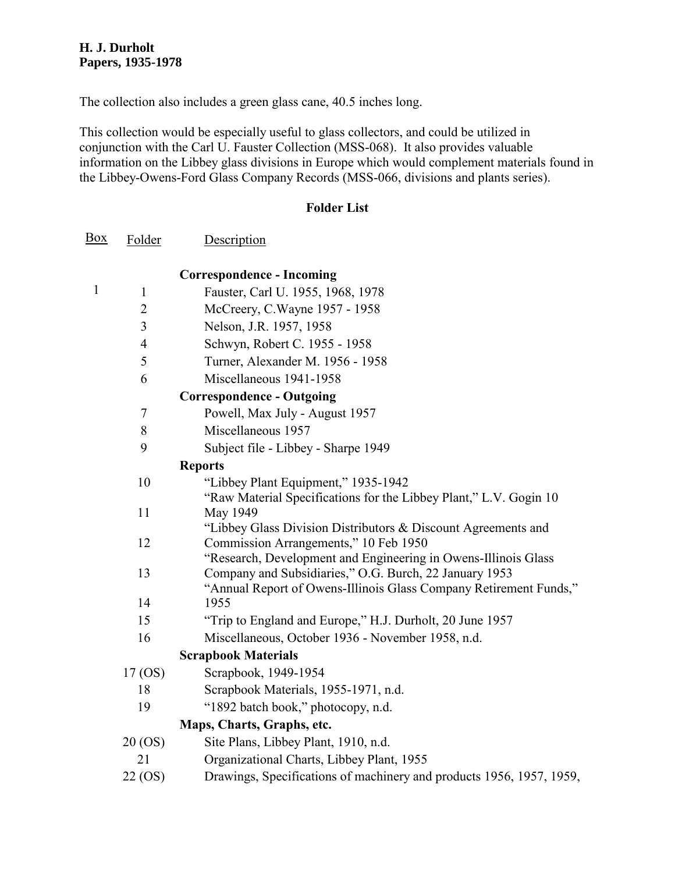The collection also includes a green glass cane, 40.5 inches long.

This collection would be especially useful to glass collectors, and could be utilized in conjunction with the Carl U. Fauster Collection (MSS-068). It also provides valuable information on the Libbey glass divisions in Europe which would complement materials found in the Libbey-Owens-Ford Glass Company Records (MSS-066, divisions and plants series).

### **Folder List**

| Box          | Folder         | Description                                                                                            |
|--------------|----------------|--------------------------------------------------------------------------------------------------------|
|              |                | <b>Correspondence - Incoming</b>                                                                       |
| $\mathbf{1}$ | 1              | Fauster, Carl U. 1955, 1968, 1978                                                                      |
|              | $\overline{2}$ | McCreery, C. Wayne 1957 - 1958                                                                         |
|              | $\overline{3}$ | Nelson, J.R. 1957, 1958                                                                                |
|              | $\overline{4}$ | Schwyn, Robert C. 1955 - 1958                                                                          |
|              | 5              | Turner, Alexander M. 1956 - 1958                                                                       |
|              | 6              | Miscellaneous 1941-1958                                                                                |
|              |                | <b>Correspondence - Outgoing</b>                                                                       |
|              | $\tau$         | Powell, Max July - August 1957                                                                         |
|              | 8              | Miscellaneous 1957                                                                                     |
|              | 9              | Subject file - Libbey - Sharpe 1949                                                                    |
|              |                | <b>Reports</b>                                                                                         |
|              | 10             | "Libbey Plant Equipment," 1935-1942                                                                    |
|              |                | "Raw Material Specifications for the Libbey Plant," L.V. Gogin 10                                      |
|              | 11             | May 1949                                                                                               |
|              | 12             | "Libbey Glass Division Distributors & Discount Agreements and<br>Commission Arrangements," 10 Feb 1950 |
|              |                | "Research, Development and Engineering in Owens-Illinois Glass                                         |
|              | 13             | Company and Subsidiaries," O.G. Burch, 22 January 1953                                                 |
|              |                | "Annual Report of Owens-Illinois Glass Company Retirement Funds,"                                      |
|              | 14             | 1955                                                                                                   |
|              | 15             | "Trip to England and Europe," H.J. Durholt, 20 June 1957                                               |
|              | 16             | Miscellaneous, October 1936 - November 1958, n.d.                                                      |
|              |                | <b>Scrapbook Materials</b>                                                                             |
|              | 17(OS)         | Scrapbook, 1949-1954                                                                                   |
|              | 18             | Scrapbook Materials, 1955-1971, n.d.                                                                   |
|              | 19             | "1892 batch book," photocopy, n.d.                                                                     |
|              |                | Maps, Charts, Graphs, etc.                                                                             |
|              | 20(OS)         | Site Plans, Libbey Plant, 1910, n.d.                                                                   |
|              | 21             | Organizational Charts, Libbey Plant, 1955                                                              |
|              | 22 (OS)        | Drawings, Specifications of machinery and products 1956, 1957, 1959,                                   |